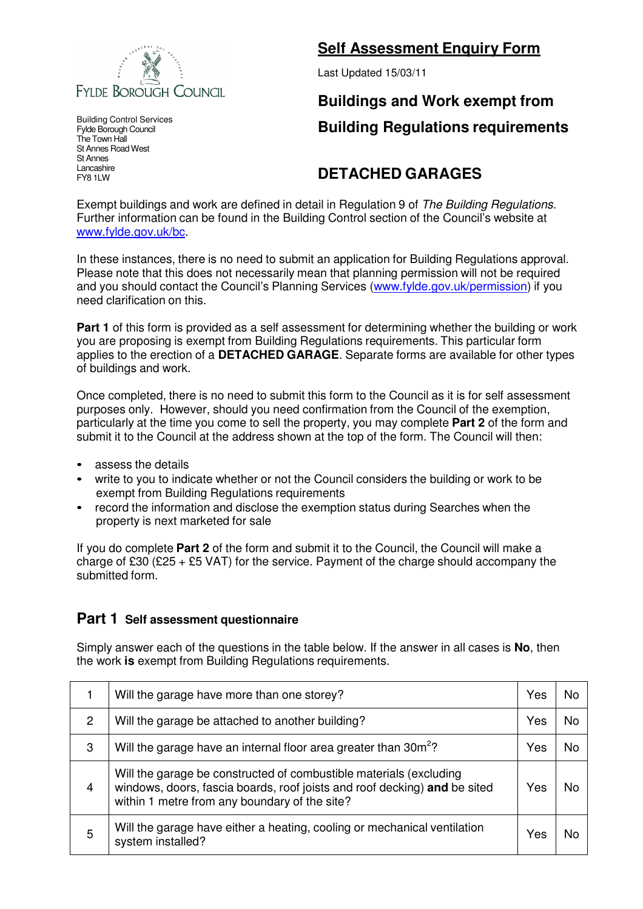

Building Control Services Fylde Borough Council The Town Hall St Annes Road West St Annes Lancashire FY8 1LW

### **Self Assessment Enquiry Form**

Last Updated 15/03/11

# **Buildings and Work exempt from Building Regulations requirements**

## **DETACHED GARAGES**

Exempt buildings and work are defined in detail in Regulation 9 of The Building Regulations. Further information can be found in the Building Control section of the Council's website at www.fylde.gov.uk/bc.

In these instances, there is no need to submit an application for Building Regulations approval. Please note that this does not necessarily mean that planning permission will not be required and you should contact the Council's Planning Services (www.fylde.gov.uk/permission) if you need clarification on this.

**Part 1** of this form is provided as a self assessment for determining whether the building or work you are proposing is exempt from Building Regulations requirements. This particular form applies to the erection of a **DETACHED GARAGE**. Separate forms are available for other types of buildings and work.

Once completed, there is no need to submit this form to the Council as it is for self assessment purposes only. However, should you need confirmation from the Council of the exemption, particularly at the time you come to sell the property, you may complete **Part 2** of the form and submit it to the Council at the address shown at the top of the form. The Council will then:

- assess the details
- write to you to indicate whether or not the Council considers the building or work to be exempt from Building Regulations requirements
- record the information and disclose the exemption status during Searches when the property is next marketed for sale

If you do complete **Part 2** of the form and submit it to the Council, the Council will make a charge of £30 (£25 + £5 VAT) for the service. Payment of the charge should accompany the submitted form.

### **Part 1 Self assessment questionnaire**

Simply answer each of the questions in the table below. If the answer in all cases is **No**, then the work **is** exempt from Building Regulations requirements.

|                | Will the garage have more than one storey?                                                                                                                                                       | Yes | N٥        |
|----------------|--------------------------------------------------------------------------------------------------------------------------------------------------------------------------------------------------|-----|-----------|
| 2              | Will the garage be attached to another building?                                                                                                                                                 | Yes | <b>No</b> |
| 3              | Will the garage have an internal floor area greater than 30m <sup>2</sup> ?                                                                                                                      | Yes |           |
| $\overline{4}$ | Will the garage be constructed of combustible materials (excluding<br>windows, doors, fascia boards, roof joists and roof decking) and be sited<br>within 1 metre from any boundary of the site? | Yes |           |
| 5              | Will the garage have either a heating, cooling or mechanical ventilation<br>system installed?                                                                                                    | Yes |           |